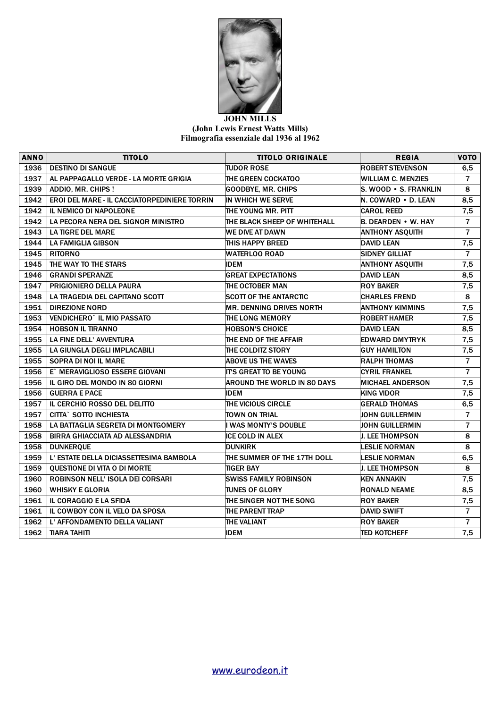

## **JOHN MILLS (John Lewis Ernest Watts Mills) Filmografia essenziale dal 1936 al 1962**

| <b>ANNO</b> | <b>TITOLO</b>                                       | <b>TITOLO ORIGINALE</b>            | <b>REGIA</b>              | <b>VOTO</b>    |
|-------------|-----------------------------------------------------|------------------------------------|---------------------------|----------------|
| 1936        | <b>DESTINO DI SANGUE</b>                            | <b>TUDOR ROSE</b>                  | <b>ROBERT STEVENSON</b>   | 6,5            |
| 1937        | AL PAPPAGALLO VERDE - LA MORTE GRIGIA               | THE GREEN COCKATOO                 | <b>WILLIAM C. MENZIES</b> | $\overline{7}$ |
| 1939        | ADDIO, MR. CHIPS !                                  | <b>GOODBYE, MR. CHIPS</b>          | S. WOOD . S. FRANKLIN     | 8              |
| 1942        | <b>EROI DEL MARE - IL CACCIATORPEDINIERE TORRIN</b> | IN WHICH WE SERVE                  | N. COWARD • D. LEAN       | 8,5            |
| 1942        | <b>IL NEMICO DI NAPOLEONE</b>                       | THE YOUNG MR. PITT                 | <b>CAROL REED</b>         | 7,5            |
| 1942        | LA PECORA NERA DEL SIGNOR MINISTRO                  | THE BLACK SHEEP OF WHITEHALL       | B. DEARDEN • W. HAY       | $\overline{7}$ |
| 1943        | LA TIGRE DEL MARE                                   | WE DIVE AT DAWN                    | <b>ANTHONY ASQUITH</b>    | $\overline{7}$ |
| 1944        | LA FAMIGLIA GIBSON                                  | THIS HAPPY BREED                   | <b>DAVID LEAN</b>         | 7,5            |
| 1945        | <b>RITORNO</b>                                      | WATERLOO ROAD                      | <b>SIDNEY GILLIAT</b>     | $\overline{7}$ |
| 1945        | THE WAY TO THE STARS                                | <b>IDEM</b>                        | <b>ANTHONY ASQUITH</b>    | 7,5            |
| 1946        | <b>GRANDI SPERANZE</b>                              | <b>GREAT EXPECTATIONS</b>          | <b>DAVID LEAN</b>         | 8,5            |
| 1947        | PRIGIONIERO DELLA PAURA                             | THE OCTOBER MAN                    | <b>ROY BAKER</b>          | 7,5            |
| 1948        | LA TRAGEDIA DEL CAPITANO SCOTT                      | <b>SCOTT OF THE ANTARCTIC</b>      | <b>CHARLES FREND</b>      | 8              |
| 1951        | <b>DIREZIONE NORD</b>                               | <b>MR. DENNING DRIVES NORTH</b>    | <b>ANTHONY KIMMINS</b>    | 7,5            |
| 1953        | VENDICHERO` IL MIO PASSATO                          | THE LONG MEMORY                    | <b>ROBERT HAMER</b>       | 7,5            |
| 1954        | <b>HOBSON IL TIRANNO</b>                            | <b>HOBSON'S CHOICE</b>             | <b>DAVID LEAN</b>         | 8,5            |
| 1955        | LA FINE DELL' AVVENTURA                             | THE END OF THE AFFAIR              | <b>EDWARD DMYTRYK</b>     | 7,5            |
| 1955        | LA GIUNGLA DEGLI IMPLACABILI                        | THE COLDITZ STORY                  | <b>GUY HAMILTON</b>       | 7,5            |
| 1955        | SOPRA DI NOI IL MARE                                | <b>ABOVE US THE WAVES</b>          | <b>RALPH THOMAS</b>       | $\overline{7}$ |
| 1956        | E` MERAVIGLIOSO ESSERE GIOVANI                      | <b>IT'S GREAT TO BE YOUNG</b>      | <b>CYRIL FRANKEL</b>      | $\overline{7}$ |
| 1956        | IL GIRO DEL MONDO IN 80 GIORNI                      | <b>AROUND THE WORLD IN 80 DAYS</b> | <b>MICHAEL ANDERSON</b>   | 7,5            |
| 1956        | <b>GUERRA E PACE</b>                                | <b>IDEM</b>                        | <b>KING VIDOR</b>         | 7,5            |
| 1957        | IL CERCHIO ROSSO DEL DELITTO                        | THE VICIOUS CIRCLE                 | <b>GERALD THOMAS</b>      | 6,5            |
| 1957        | <b>CITTA` SOTTO INCHIESTA</b>                       | TOWN ON TRIAL                      | <b>JOHN GUILLERMIN</b>    | $\overline{7}$ |
| 1958        | LA BATTAGLIA SEGRETA DI MONTGOMERY                  | I WAS MONTY'S DOUBLE               | <b>JOHN GUILLERMIN</b>    | $\overline{7}$ |
| 1958        | <b>BIRRA GHIACCIATA AD ALESSANDRIA</b>              | <b>ICE COLD IN ALEX</b>            | J. LEE THOMPSON           | 8              |
| 1958        | <b>DUNKEROUE</b>                                    | <b>DUNKIRK</b>                     | <b>LESLIE NORMAN</b>      | 8              |
| 1959        | L' ESTATE DELLA DICIASSETTESIMA BAMBOLA             | THE SUMMER OF THE 17TH DOLL        | <b>LESLIE NORMAN</b>      | 6,5            |
| 1959        | QUESTIONE DI VITA O DI MORTE                        | <b>TIGER BAY</b>                   | <b>J. LEE THOMPSON</b>    | 8              |
| 1960        | <b>ROBINSON NELL' ISOLA DEI CORSARI</b>             | <b>SWISS FAMILY ROBINSON</b>       | <b>KEN ANNAKIN</b>        | 7,5            |
| 1960        | <b>WHISKY E GLORIA</b>                              | <b>TUNES OF GLORY</b>              | <b>RONALD NEAME</b>       | 8,5            |
| 1961        | <b>IL CORAGGIO E LA SFIDA</b>                       | THE SINGER NOT THE SONG            | <b>ROY BAKER</b>          | 7,5            |
| 1961        | IL COWBOY CON IL VELO DA SPOSA                      | THE PARENT TRAP                    | <b>DAVID SWIFT</b>        | $\overline{7}$ |
| 1962        | L' AFFONDAMENTO DELLA VALIANT                       | THE VALIANT                        | <b>ROY BAKER</b>          | $\overline{7}$ |
| 1962        | TIARA TAHITI                                        | <b>IDEM</b>                        | <b>TED KOTCHEFF</b>       | 7,5            |